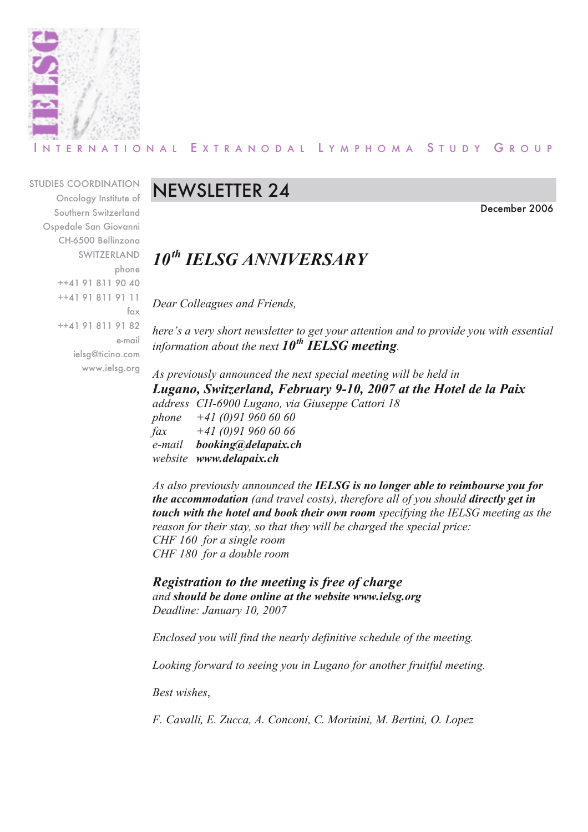

#### R N A T I O N A L E X T R A N O D A L L Y M P H O M A S T U D Y G R O U P

STUDIES COORDINATION Oncology Institute of Southern Switzerland Ospedale San Giovanni CH-6500 Bellinzona SWITZERLAND phone ++41 91 811 90 40 ++41 91 811 91 11 fax ++41 91 811 91 82 e-mail ielsg@ticino.com www.ielsg.org

## NEWSLETTER 24

December 2006

## *10th IELSG ANNIVERSARY*

*Dear Colleagues and Friends,*

*here's a very short newsletter to get your attention and to provide you with essential information about the next 10th IELSG meeting.*

*As previously announced the next special meeting will be held in Lugano, Switzerland, February 9-10, 2007 at the Hotel de la Paix address CH-6900 Lugano, via Giuseppe Cattori 18 phone +41 (0)91 960 60 60 fax +41 (0)91 960 60 66 e-mail booking@delapaix.ch website www.delapaix.ch*

*As also previously announced the IELSG is no longer able to reimbourse you for the accommodation (and travel costs), therefore all of you should directly get in touch with the hotel and book their own room specifying the IELSG meeting as the reason for their stay, so that they will be charged the special price: CHF 160 for a single room CHF 180 for a double room*

*Registration to the meeting is free of charge and should be done online at the website www.ielsg.org Deadline: January 10, 2007*

*Enclosed you will find the nearly definitive schedule of the meeting.*

*Looking forward to seeing you in Lugano for another fruitful meeting.*

*Best wishes*,

*F. Cavalli, E. Zucca, A. Conconi, C. Morinini, M. Bertini, O. Lopez*